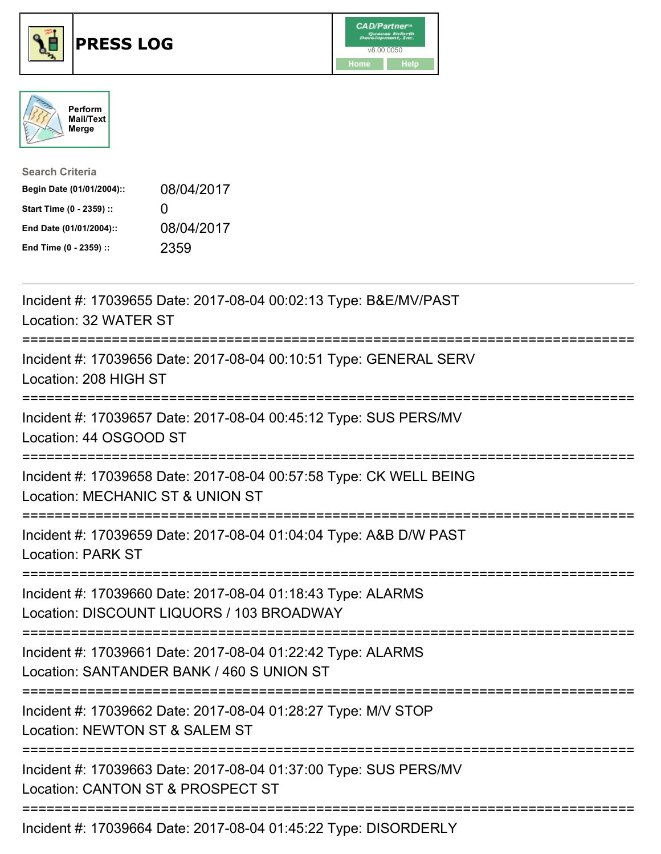





| <b>Search Criteria</b>    |              |
|---------------------------|--------------|
| Begin Date (01/01/2004):: | 08/04/2017   |
| Start Time (0 - 2359) ::  | $\mathbf{I}$ |
| End Date (01/01/2004)::   | 08/04/2017   |
| End Time (0 - 2359) ::    | 2359         |

| Incident #: 17039655 Date: 2017-08-04 00:02:13 Type: B&E/MV/PAST<br>Location: 32 WATER ST                                                |
|------------------------------------------------------------------------------------------------------------------------------------------|
| Incident #: 17039656 Date: 2017-08-04 00:10:51 Type: GENERAL SERV<br>Location: 208 HIGH ST                                               |
| Incident #: 17039657 Date: 2017-08-04 00:45:12 Type: SUS PERS/MV<br>Location: 44 OSGOOD ST                                               |
| Incident #: 17039658 Date: 2017-08-04 00:57:58 Type: CK WELL BEING<br>Location: MECHANIC ST & UNION ST                                   |
| Incident #: 17039659 Date: 2017-08-04 01:04:04 Type: A&B D/W PAST<br><b>Location: PARK ST</b><br>=======================                 |
| Incident #: 17039660 Date: 2017-08-04 01:18:43 Type: ALARMS<br>Location: DISCOUNT LIQUORS / 103 BROADWAY<br>===========================  |
| Incident #: 17039661 Date: 2017-08-04 01:22:42 Type: ALARMS<br>Location: SANTANDER BANK / 460 S UNION ST<br>============================ |
| Incident #: 17039662 Date: 2017-08-04 01:28:27 Type: M/V STOP<br>Location: NEWTON ST & SALEM ST                                          |
| Incident #: 17039663 Date: 2017-08-04 01:37:00 Type: SUS PERS/MV<br>Location: CANTON ST & PROSPECT ST                                    |
| Incident #: 17039664 Date: 2017-08-04 01:45:22 Type: DISORDERLY                                                                          |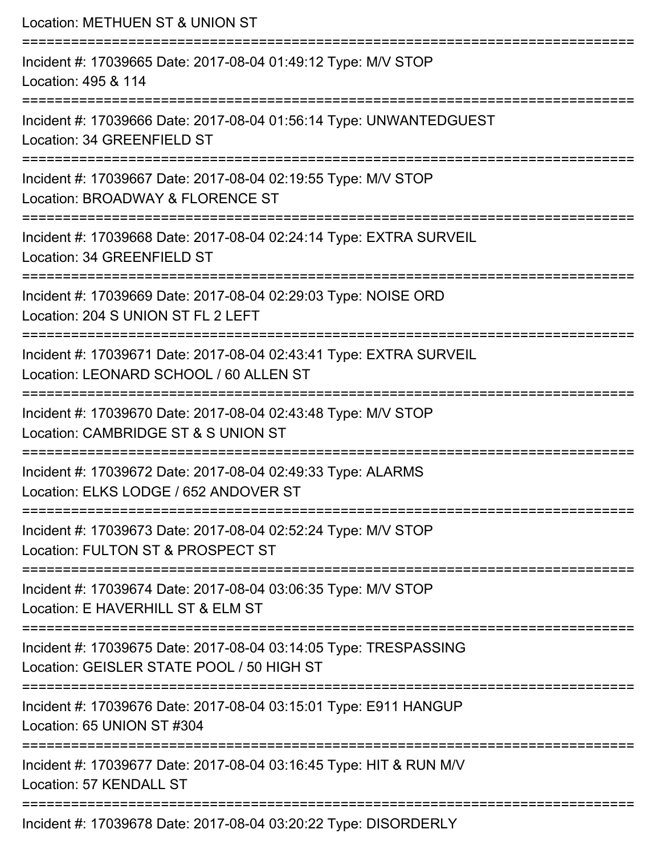Location: METHUEN ST & UNION ST =========================================================================== Incident #: 17039665 Date: 2017-08-04 01:49:12 Type: M/V STOP Location: 495 & 114 =========================================================================== Incident #: 17039666 Date: 2017-08-04 01:56:14 Type: UNWANTEDGUEST Location: 34 GREENFIELD ST =========================================================================== Incident #: 17039667 Date: 2017-08-04 02:19:55 Type: M/V STOP Location: BROADWAY & FLORENCE ST =========================================================================== Incident #: 17039668 Date: 2017-08-04 02:24:14 Type: EXTRA SURVEIL Location: 34 GREENFIELD ST =========================================================================== Incident #: 17039669 Date: 2017-08-04 02:29:03 Type: NOISE ORD Location: 204 S UNION ST FL 2 LEFT =========================================================================== Incident #: 17039671 Date: 2017-08-04 02:43:41 Type: EXTRA SURVEIL Location: LEONARD SCHOOL / 60 ALLEN ST =========================================================================== Incident #: 17039670 Date: 2017-08-04 02:43:48 Type: M/V STOP Location: CAMBRIDGE ST & S UNION ST =========================================================================== Incident #: 17039672 Date: 2017-08-04 02:49:33 Type: ALARMS Location: ELKS LODGE / 652 ANDOVER ST =========================================================================== Incident #: 17039673 Date: 2017-08-04 02:52:24 Type: M/V STOP Location: FULTON ST & PROSPECT ST =========================================================================== Incident #: 17039674 Date: 2017-08-04 03:06:35 Type: M/V STOP Location: E HAVERHILL ST & ELM ST =========================================================================== Incident #: 17039675 Date: 2017-08-04 03:14:05 Type: TRESPASSING Location: GEISLER STATE POOL / 50 HIGH ST =========================================================================== Incident #: 17039676 Date: 2017-08-04 03:15:01 Type: E911 HANGUP Location: 65 UNION ST #304 =========================================================================== Incident #: 17039677 Date: 2017-08-04 03:16:45 Type: HIT & RUN M/V Location: 57 KENDALL ST =========================================================================== Incident #: 17039678 Date: 2017-08-04 03:20:22 Type: DISORDERLY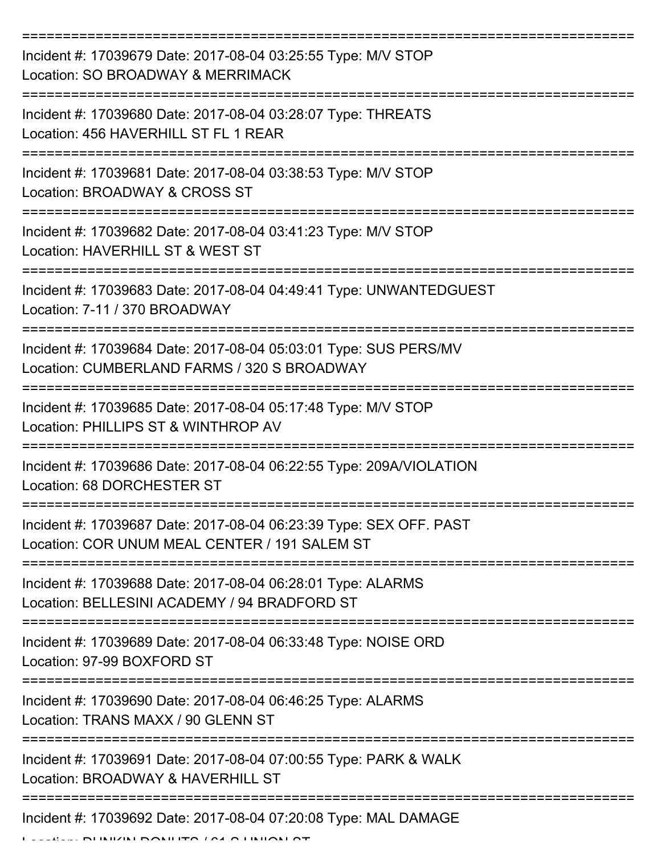| Incident #: 17039679 Date: 2017-08-04 03:25:55 Type: M/V STOP<br>Location: SO BROADWAY & MERRIMACK                                 |
|------------------------------------------------------------------------------------------------------------------------------------|
| Incident #: 17039680 Date: 2017-08-04 03:28:07 Type: THREATS<br>Location: 456 HAVERHILL ST FL 1 REAR                               |
| Incident #: 17039681 Date: 2017-08-04 03:38:53 Type: M/V STOP<br>Location: BROADWAY & CROSS ST                                     |
| Incident #: 17039682 Date: 2017-08-04 03:41:23 Type: M/V STOP<br>Location: HAVERHILL ST & WEST ST                                  |
| Incident #: 17039683 Date: 2017-08-04 04:49:41 Type: UNWANTEDGUEST<br>Location: 7-11 / 370 BROADWAY                                |
| Incident #: 17039684 Date: 2017-08-04 05:03:01 Type: SUS PERS/MV<br>Location: CUMBERLAND FARMS / 320 S BROADWAY                    |
| Incident #: 17039685 Date: 2017-08-04 05:17:48 Type: M/V STOP<br>Location: PHILLIPS ST & WINTHROP AV                               |
| Incident #: 17039686 Date: 2017-08-04 06:22:55 Type: 209A/VIOLATION<br>Location: 68 DORCHESTER ST                                  |
| Incident #: 17039687 Date: 2017-08-04 06:23:39 Type: SEX OFF. PAST<br>Location: COR UNUM MEAL CENTER / 191 SALEM ST                |
| Incident #: 17039688 Date: 2017-08-04 06:28:01 Type: ALARMS<br>Location: BELLESINI ACADEMY / 94 BRADFORD ST                        |
| Incident #: 17039689 Date: 2017-08-04 06:33:48 Type: NOISE ORD<br>Location: 97-99 BOXFORD ST                                       |
| Incident #: 17039690 Date: 2017-08-04 06:46:25 Type: ALARMS<br>Location: TRANS MAXX / 90 GLENN ST                                  |
| Incident #: 17039691 Date: 2017-08-04 07:00:55 Type: PARK & WALK<br>Location: BROADWAY & HAVERHILL ST<br>------------------------- |
| Incident #: 17039692 Date: 2017-08-04 07:20:08 Type: MAL DAMAGE                                                                    |

Location: DUNKIN DONUTS / 61 S UNION ST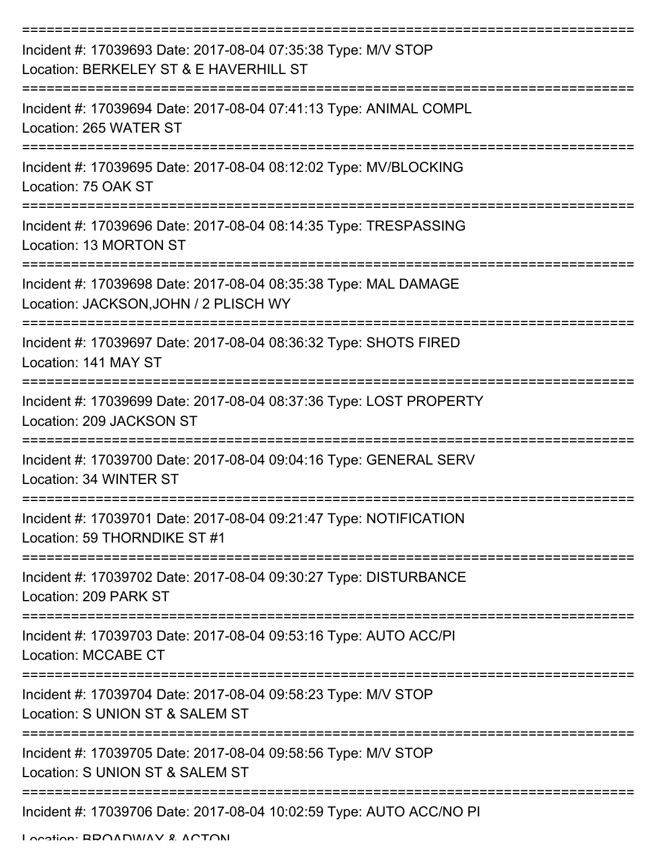| Incident #: 17039693 Date: 2017-08-04 07:35:38 Type: M/V STOP<br>Location: BERKELEY ST & E HAVERHILL ST  |
|----------------------------------------------------------------------------------------------------------|
| Incident #: 17039694 Date: 2017-08-04 07:41:13 Type: ANIMAL COMPL<br>Location: 265 WATER ST              |
| Incident #: 17039695 Date: 2017-08-04 08:12:02 Type: MV/BLOCKING<br>Location: 75 OAK ST                  |
| Incident #: 17039696 Date: 2017-08-04 08:14:35 Type: TRESPASSING<br>Location: 13 MORTON ST               |
| Incident #: 17039698 Date: 2017-08-04 08:35:38 Type: MAL DAMAGE<br>Location: JACKSON, JOHN / 2 PLISCH WY |
| Incident #: 17039697 Date: 2017-08-04 08:36:32 Type: SHOTS FIRED<br>Location: 141 MAY ST                 |
| Incident #: 17039699 Date: 2017-08-04 08:37:36 Type: LOST PROPERTY<br>Location: 209 JACKSON ST           |
| Incident #: 17039700 Date: 2017-08-04 09:04:16 Type: GENERAL SERV<br>Location: 34 WINTER ST              |
| Incident #: 17039701 Date: 2017-08-04 09:21:47 Type: NOTIFICATION<br>Location: 59 THORNDIKE ST #1        |
| Incident #: 17039702 Date: 2017-08-04 09:30:27 Type: DISTURBANCE<br>Location: 209 PARK ST                |
| Incident #: 17039703 Date: 2017-08-04 09:53:16 Type: AUTO ACC/PI<br>Location: MCCABE CT                  |
| Incident #: 17039704 Date: 2017-08-04 09:58:23 Type: M/V STOP<br>Location: S UNION ST & SALEM ST         |
| Incident #: 17039705 Date: 2017-08-04 09:58:56 Type: M/V STOP<br>Location: S UNION ST & SALEM ST         |
| Incident #: 17039706 Date: 2017-08-04 10:02:59 Type: AUTO ACC/NO PI                                      |

Location: BROADWAY & ACTON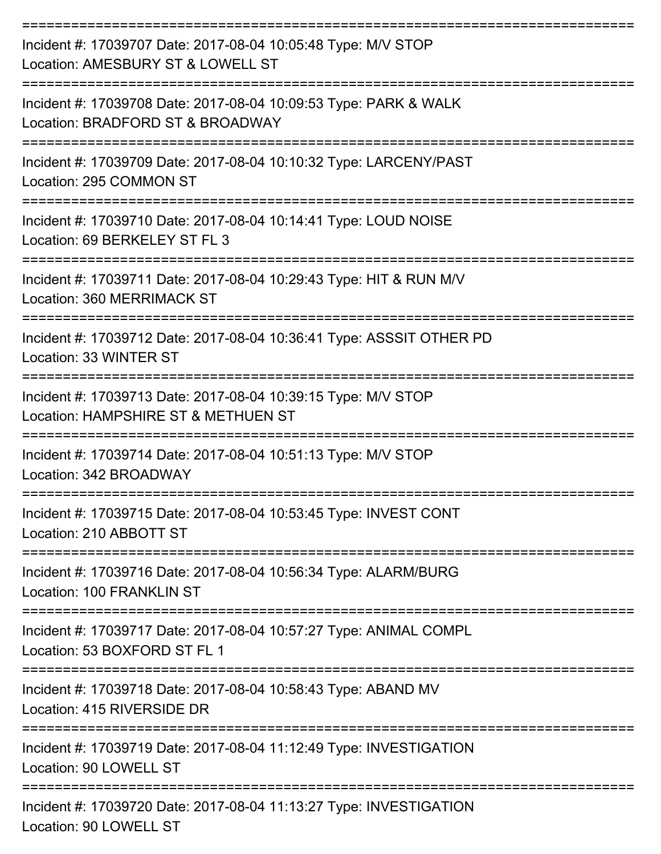| Incident #: 17039707 Date: 2017-08-04 10:05:48 Type: M/V STOP<br>Location: AMESBURY ST & LOWELL ST                      |
|-------------------------------------------------------------------------------------------------------------------------|
| Incident #: 17039708 Date: 2017-08-04 10:09:53 Type: PARK & WALK<br>Location: BRADFORD ST & BROADWAY                    |
| Incident #: 17039709 Date: 2017-08-04 10:10:32 Type: LARCENY/PAST<br>Location: 295 COMMON ST                            |
| Incident #: 17039710 Date: 2017-08-04 10:14:41 Type: LOUD NOISE<br>Location: 69 BERKELEY ST FL 3                        |
| Incident #: 17039711 Date: 2017-08-04 10:29:43 Type: HIT & RUN M/V<br>Location: 360 MERRIMACK ST                        |
| Incident #: 17039712 Date: 2017-08-04 10:36:41 Type: ASSSIT OTHER PD<br>Location: 33 WINTER ST                          |
| Incident #: 17039713 Date: 2017-08-04 10:39:15 Type: M/V STOP<br>Location: HAMPSHIRE ST & METHUEN ST                    |
| Incident #: 17039714 Date: 2017-08-04 10:51:13 Type: M/V STOP<br>Location: 342 BROADWAY                                 |
| Incident #: 17039715 Date: 2017-08-04 10:53:45 Type: INVEST CONT<br>Location: 210 ABBOTT ST                             |
| =======================<br>Incident #: 17039716 Date: 2017-08-04 10:56:34 Type: ALARM/BURG<br>Location: 100 FRANKLIN ST |
| Incident #: 17039717 Date: 2017-08-04 10:57:27 Type: ANIMAL COMPL<br>Location: 53 BOXFORD ST FL 1                       |
| Incident #: 17039718 Date: 2017-08-04 10:58:43 Type: ABAND MV<br>Location: 415 RIVERSIDE DR                             |
| Incident #: 17039719 Date: 2017-08-04 11:12:49 Type: INVESTIGATION<br>Location: 90 LOWELL ST                            |
| Incident #: 17039720 Date: 2017-08-04 11:13:27 Type: INVESTIGATION<br>Location: 90 LOWELL ST                            |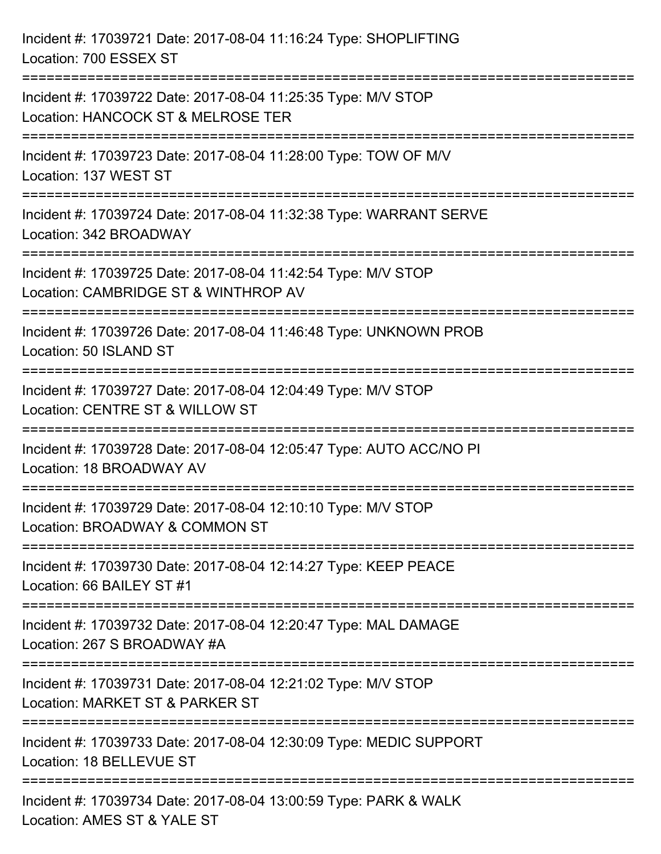| Incident #: 17039721 Date: 2017-08-04 11:16:24 Type: SHOPLIFTING<br>Location: 700 ESSEX ST                                             |
|----------------------------------------------------------------------------------------------------------------------------------------|
| ===============================<br>Incident #: 17039722 Date: 2017-08-04 11:25:35 Type: M/V STOP<br>Location: HANCOCK ST & MELROSE TER |
| Incident #: 17039723 Date: 2017-08-04 11:28:00 Type: TOW OF M/V<br>Location: 137 WEST ST<br>======================================     |
| Incident #: 17039724 Date: 2017-08-04 11:32:38 Type: WARRANT SERVE<br>Location: 342 BROADWAY                                           |
| Incident #: 17039725 Date: 2017-08-04 11:42:54 Type: M/V STOP<br>Location: CAMBRIDGE ST & WINTHROP AV<br>===================           |
| Incident #: 17039726 Date: 2017-08-04 11:46:48 Type: UNKNOWN PROB<br>Location: 50 ISLAND ST                                            |
| Incident #: 17039727 Date: 2017-08-04 12:04:49 Type: M/V STOP<br>Location: CENTRE ST & WILLOW ST                                       |
| Incident #: 17039728 Date: 2017-08-04 12:05:47 Type: AUTO ACC/NO PI<br>Location: 18 BROADWAY AV                                        |
| Incident #: 17039729 Date: 2017-08-04 12:10:10 Type: M/V STOP<br>Location: BROADWAY & COMMON ST                                        |
| Incident #: 17039730 Date: 2017-08-04 12:14:27 Type: KEEP PEACE<br>Location: 66 BAILEY ST #1                                           |
| Incident #: 17039732 Date: 2017-08-04 12:20:47 Type: MAL DAMAGE<br>Location: 267 S BROADWAY #A                                         |
| Incident #: 17039731 Date: 2017-08-04 12:21:02 Type: M/V STOP<br>Location: MARKET ST & PARKER ST                                       |
| Incident #: 17039733 Date: 2017-08-04 12:30:09 Type: MEDIC SUPPORT<br>Location: 18 BELLEVUE ST                                         |
| ============================<br>Incident #: 17039734 Date: 2017-08-04 13:00:59 Type: PARK & WALK<br>Location: AMES ST & YALE ST        |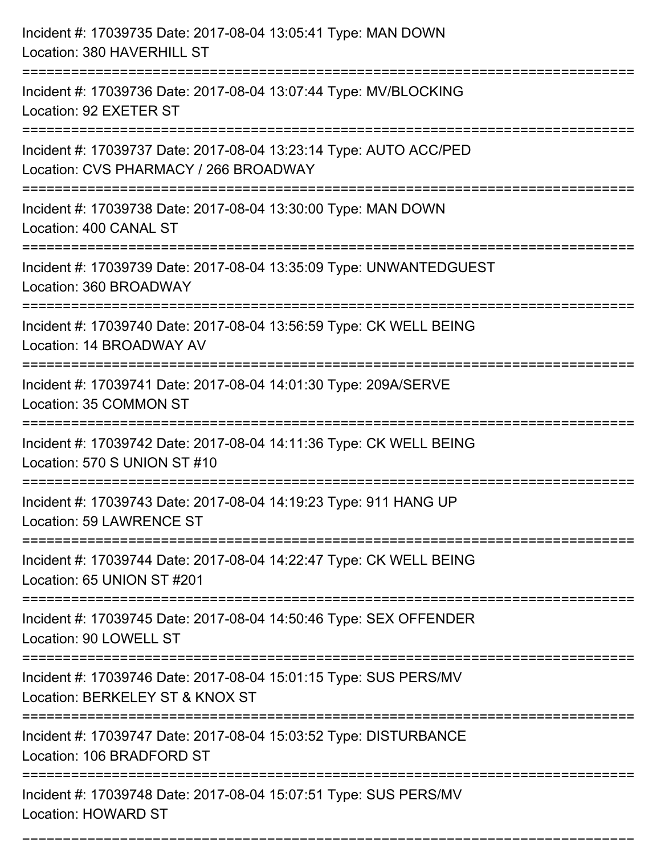| Incident #: 17039735 Date: 2017-08-04 13:05:41 Type: MAN DOWN<br>Location: 380 HAVERHILL ST                                                       |
|---------------------------------------------------------------------------------------------------------------------------------------------------|
| Incident #: 17039736 Date: 2017-08-04 13:07:44 Type: MV/BLOCKING<br>Location: 92 EXETER ST                                                        |
| Incident #: 17039737 Date: 2017-08-04 13:23:14 Type: AUTO ACC/PED<br>Location: CVS PHARMACY / 266 BROADWAY<br>=================================== |
| Incident #: 17039738 Date: 2017-08-04 13:30:00 Type: MAN DOWN<br>Location: 400 CANAL ST                                                           |
| Incident #: 17039739 Date: 2017-08-04 13:35:09 Type: UNWANTEDGUEST<br>Location: 360 BROADWAY                                                      |
| Incident #: 17039740 Date: 2017-08-04 13:56:59 Type: CK WELL BEING<br>Location: 14 BROADWAY AV                                                    |
| Incident #: 17039741 Date: 2017-08-04 14:01:30 Type: 209A/SERVE<br>Location: 35 COMMON ST                                                         |
| Incident #: 17039742 Date: 2017-08-04 14:11:36 Type: CK WELL BEING<br>Location: 570 S UNION ST #10                                                |
| Incident #: 17039743 Date: 2017-08-04 14:19:23 Type: 911 HANG UP<br>Location: 59 LAWRENCE ST                                                      |
| Incident #: 17039744 Date: 2017-08-04 14:22:47 Type: CK WELL BEING<br>Location: 65 UNION ST #201                                                  |
| Incident #: 17039745 Date: 2017-08-04 14:50:46 Type: SEX OFFENDER<br>Location: 90 LOWELL ST                                                       |
| Incident #: 17039746 Date: 2017-08-04 15:01:15 Type: SUS PERS/MV<br>Location: BERKELEY ST & KNOX ST                                               |
| Incident #: 17039747 Date: 2017-08-04 15:03:52 Type: DISTURBANCE<br>Location: 106 BRADFORD ST                                                     |
| Incident #: 17039748 Date: 2017-08-04 15:07:51 Type: SUS PERS/MV<br><b>Location: HOWARD ST</b>                                                    |

===========================================================================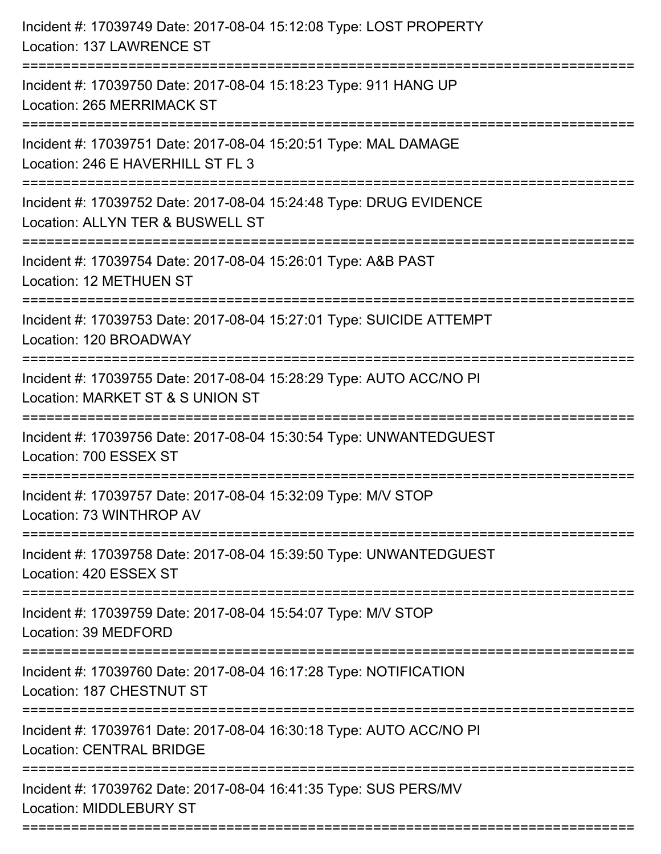| Incident #: 17039749 Date: 2017-08-04 15:12:08 Type: LOST PROPERTY<br>Location: 137 LAWRENCE ST                                          |
|------------------------------------------------------------------------------------------------------------------------------------------|
| Incident #: 17039750 Date: 2017-08-04 15:18:23 Type: 911 HANG UP<br><b>Location: 265 MERRIMACK ST</b>                                    |
| Incident #: 17039751 Date: 2017-08-04 15:20:51 Type: MAL DAMAGE<br>Location: 246 E HAVERHILL ST FL 3<br>:=============================== |
| Incident #: 17039752 Date: 2017-08-04 15:24:48 Type: DRUG EVIDENCE<br>Location: ALLYN TER & BUSWELL ST                                   |
| Incident #: 17039754 Date: 2017-08-04 15:26:01 Type: A&B PAST<br><b>Location: 12 METHUEN ST</b>                                          |
| Incident #: 17039753 Date: 2017-08-04 15:27:01 Type: SUICIDE ATTEMPT<br>Location: 120 BROADWAY                                           |
| Incident #: 17039755 Date: 2017-08-04 15:28:29 Type: AUTO ACC/NO PI<br>Location: MARKET ST & S UNION ST                                  |
| Incident #: 17039756 Date: 2017-08-04 15:30:54 Type: UNWANTEDGUEST<br>Location: 700 ESSEX ST                                             |
| Incident #: 17039757 Date: 2017-08-04 15:32:09 Type: M/V STOP<br>Location: 73 WINTHROP AV                                                |
| Incident #: 17039758 Date: 2017-08-04 15:39:50 Type: UNWANTEDGUEST<br>Location: 420 ESSEX ST                                             |
| Incident #: 17039759 Date: 2017-08-04 15:54:07 Type: M/V STOP<br>Location: 39 MEDFORD                                                    |
| Incident #: 17039760 Date: 2017-08-04 16:17:28 Type: NOTIFICATION<br>Location: 187 CHESTNUT ST                                           |
| Incident #: 17039761 Date: 2017-08-04 16:30:18 Type: AUTO ACC/NO PI<br><b>Location: CENTRAL BRIDGE</b>                                   |
| Incident #: 17039762 Date: 2017-08-04 16:41:35 Type: SUS PERS/MV<br><b>Location: MIDDLEBURY ST</b>                                       |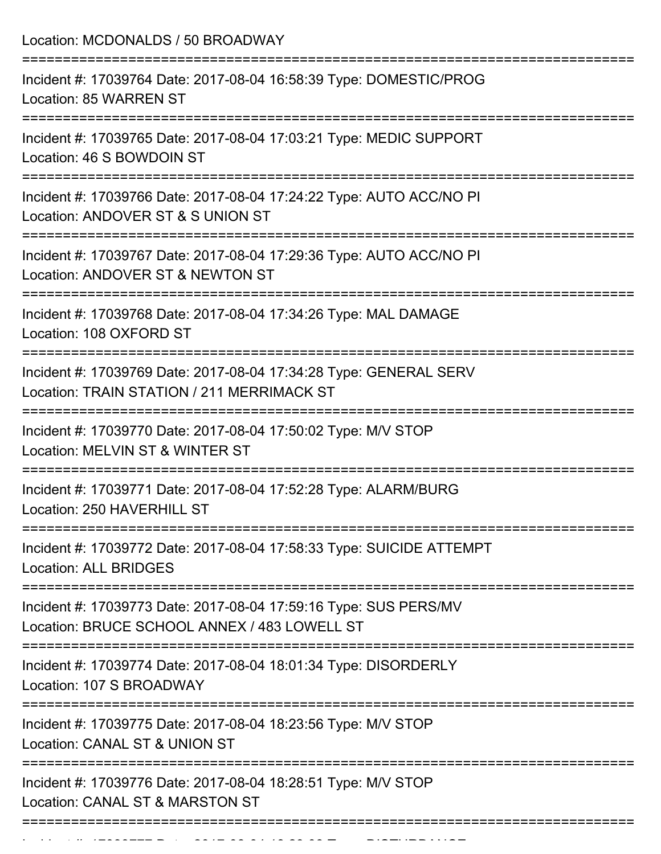| Incident #: 17039764 Date: 2017-08-04 16:58:39 Type: DOMESTIC/PROG<br>Location: 85 WARREN ST<br>:============================<br>Incident #: 17039765 Date: 2017-08-04 17:03:21 Type: MEDIC SUPPORT<br>Location: 46 S BOWDOIN ST<br>Incident #: 17039766 Date: 2017-08-04 17:24:22 Type: AUTO ACC/NO PI<br>Location: ANDOVER ST & S UNION ST<br>=============================<br>Incident #: 17039767 Date: 2017-08-04 17:29:36 Type: AUTO ACC/NO PI<br>Location: ANDOVER ST & NEWTON ST<br>Incident #: 17039768 Date: 2017-08-04 17:34:26 Type: MAL DAMAGE<br>Location: 108 OXFORD ST<br>-----------------------------<br>Incident #: 17039769 Date: 2017-08-04 17:34:28 Type: GENERAL SERV<br>Location: TRAIN STATION / 211 MERRIMACK ST<br>=====================<br>Incident #: 17039770 Date: 2017-08-04 17:50:02 Type: M/V STOP<br>Location: MELVIN ST & WINTER ST<br>Incident #: 17039771 Date: 2017-08-04 17:52:28 Type: ALARM/BURG<br>Location: 250 HAVERHILL ST<br>Incident #: 17039772 Date: 2017-08-04 17:58:33 Type: SUICIDE ATTEMPT<br><b>Location: ALL BRIDGES</b><br>Incident #: 17039773 Date: 2017-08-04 17:59:16 Type: SUS PERS/MV<br>Location: BRUCE SCHOOL ANNEX / 483 LOWELL ST<br>Incident #: 17039774 Date: 2017-08-04 18:01:34 Type: DISORDERLY<br>Location: 107 S BROADWAY<br>Incident #: 17039775 Date: 2017-08-04 18:23:56 Type: M/V STOP<br>Location: CANAL ST & UNION ST<br>Incident #: 17039776 Date: 2017-08-04 18:28:51 Type: M/V STOP<br>Location: CANAL ST & MARSTON ST | Location: MCDONALDS / 50 BROADWAY |
|-----------------------------------------------------------------------------------------------------------------------------------------------------------------------------------------------------------------------------------------------------------------------------------------------------------------------------------------------------------------------------------------------------------------------------------------------------------------------------------------------------------------------------------------------------------------------------------------------------------------------------------------------------------------------------------------------------------------------------------------------------------------------------------------------------------------------------------------------------------------------------------------------------------------------------------------------------------------------------------------------------------------------------------------------------------------------------------------------------------------------------------------------------------------------------------------------------------------------------------------------------------------------------------------------------------------------------------------------------------------------------------------------------------------------------------------------------------------------------------------------------------|-----------------------------------|
|                                                                                                                                                                                                                                                                                                                                                                                                                                                                                                                                                                                                                                                                                                                                                                                                                                                                                                                                                                                                                                                                                                                                                                                                                                                                                                                                                                                                                                                                                                           |                                   |
|                                                                                                                                                                                                                                                                                                                                                                                                                                                                                                                                                                                                                                                                                                                                                                                                                                                                                                                                                                                                                                                                                                                                                                                                                                                                                                                                                                                                                                                                                                           |                                   |
|                                                                                                                                                                                                                                                                                                                                                                                                                                                                                                                                                                                                                                                                                                                                                                                                                                                                                                                                                                                                                                                                                                                                                                                                                                                                                                                                                                                                                                                                                                           |                                   |
|                                                                                                                                                                                                                                                                                                                                                                                                                                                                                                                                                                                                                                                                                                                                                                                                                                                                                                                                                                                                                                                                                                                                                                                                                                                                                                                                                                                                                                                                                                           |                                   |
|                                                                                                                                                                                                                                                                                                                                                                                                                                                                                                                                                                                                                                                                                                                                                                                                                                                                                                                                                                                                                                                                                                                                                                                                                                                                                                                                                                                                                                                                                                           |                                   |
|                                                                                                                                                                                                                                                                                                                                                                                                                                                                                                                                                                                                                                                                                                                                                                                                                                                                                                                                                                                                                                                                                                                                                                                                                                                                                                                                                                                                                                                                                                           |                                   |
|                                                                                                                                                                                                                                                                                                                                                                                                                                                                                                                                                                                                                                                                                                                                                                                                                                                                                                                                                                                                                                                                                                                                                                                                                                                                                                                                                                                                                                                                                                           |                                   |
|                                                                                                                                                                                                                                                                                                                                                                                                                                                                                                                                                                                                                                                                                                                                                                                                                                                                                                                                                                                                                                                                                                                                                                                                                                                                                                                                                                                                                                                                                                           |                                   |
|                                                                                                                                                                                                                                                                                                                                                                                                                                                                                                                                                                                                                                                                                                                                                                                                                                                                                                                                                                                                                                                                                                                                                                                                                                                                                                                                                                                                                                                                                                           |                                   |
|                                                                                                                                                                                                                                                                                                                                                                                                                                                                                                                                                                                                                                                                                                                                                                                                                                                                                                                                                                                                                                                                                                                                                                                                                                                                                                                                                                                                                                                                                                           |                                   |
|                                                                                                                                                                                                                                                                                                                                                                                                                                                                                                                                                                                                                                                                                                                                                                                                                                                                                                                                                                                                                                                                                                                                                                                                                                                                                                                                                                                                                                                                                                           |                                   |
|                                                                                                                                                                                                                                                                                                                                                                                                                                                                                                                                                                                                                                                                                                                                                                                                                                                                                                                                                                                                                                                                                                                                                                                                                                                                                                                                                                                                                                                                                                           |                                   |
|                                                                                                                                                                                                                                                                                                                                                                                                                                                                                                                                                                                                                                                                                                                                                                                                                                                                                                                                                                                                                                                                                                                                                                                                                                                                                                                                                                                                                                                                                                           |                                   |

Incident #: 1703977 Date: 2017 08 04 18:29:03 Type: Disturbance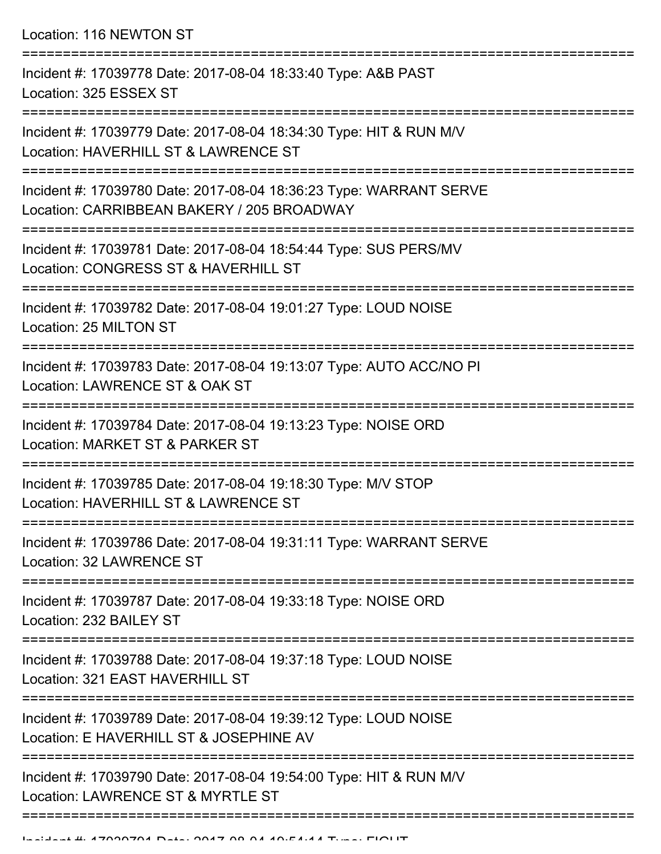Location: 116 NEWTON ST

=========================================================================== Incident #: 17039778 Date: 2017-08-04 18:33:40 Type: A&B PAST Location: 325 ESSEX ST =========================================================================== Incident #: 17039779 Date: 2017-08-04 18:34:30 Type: HIT & RUN M/V Location: HAVERHILL ST & LAWRENCE ST =========================================================================== Incident #: 17039780 Date: 2017-08-04 18:36:23 Type: WARRANT SERVE Location: CARRIBBEAN BAKERY / 205 BROADWAY =========================================================================== Incident #: 17039781 Date: 2017-08-04 18:54:44 Type: SUS PERS/MV Location: CONGRESS ST & HAVERHILL ST =========================================================================== Incident #: 17039782 Date: 2017-08-04 19:01:27 Type: LOUD NOISE Location: 25 MILTON ST =========================================================================== Incident #: 17039783 Date: 2017-08-04 19:13:07 Type: AUTO ACC/NO PI Location: LAWRENCE ST & OAK ST =========================================================================== Incident #: 17039784 Date: 2017-08-04 19:13:23 Type: NOISE ORD Location: MARKET ST & PARKER ST =========================================================================== Incident #: 17039785 Date: 2017-08-04 19:18:30 Type: M/V STOP Location: HAVERHILL ST & LAWRENCE ST =========================================================================== Incident #: 17039786 Date: 2017-08-04 19:31:11 Type: WARRANT SERVE Location: 32 LAWRENCE ST =========================================================================== Incident #: 17039787 Date: 2017-08-04 19:33:18 Type: NOISE ORD Location: 232 BAILEY ST =========================================================================== Incident #: 17039788 Date: 2017-08-04 19:37:18 Type: LOUD NOISE Location: 321 EAST HAVERHILL ST =========================================================================== Incident #: 17039789 Date: 2017-08-04 19:39:12 Type: LOUD NOISE Location: F HAVERHILL ST & JOSEPHINE AV =========================================================================== Incident #: 17039790 Date: 2017-08-04 19:54:00 Type: HIT & RUN M/V Location: LAWRENCE ST & MYRTLE ST ===========================================================================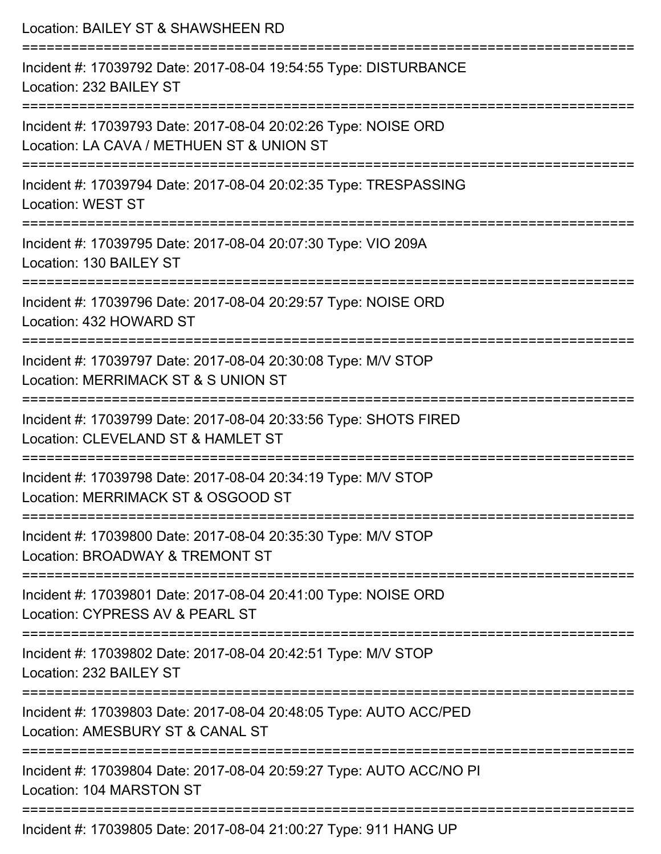| Location: BAILEY ST & SHAWSHEEN RD                                                                                                                 |
|----------------------------------------------------------------------------------------------------------------------------------------------------|
| Incident #: 17039792 Date: 2017-08-04 19:54:55 Type: DISTURBANCE<br>Location: 232 BAILEY ST                                                        |
| Incident #: 17039793 Date: 2017-08-04 20:02:26 Type: NOISE ORD<br>Location: LA CAVA / METHUEN ST & UNION ST                                        |
| Incident #: 17039794 Date: 2017-08-04 20:02:35 Type: TRESPASSING<br><b>Location: WEST ST</b>                                                       |
| Incident #: 17039795 Date: 2017-08-04 20:07:30 Type: VIO 209A<br>Location: 130 BAILEY ST                                                           |
| Incident #: 17039796 Date: 2017-08-04 20:29:57 Type: NOISE ORD<br>Location: 432 HOWARD ST<br>---------------------------------<br>---------------- |
| Incident #: 17039797 Date: 2017-08-04 20:30:08 Type: M/V STOP<br>Location: MERRIMACK ST & S UNION ST                                               |
| Incident #: 17039799 Date: 2017-08-04 20:33:56 Type: SHOTS FIRED<br>Location: CLEVELAND ST & HAMLET ST                                             |
| Incident #: 17039798 Date: 2017-08-04 20:34:19 Type: M/V STOP<br>Location: MERRIMACK ST & OSGOOD ST                                                |
| Incident #: 17039800 Date: 2017-08-04 20:35:30 Type: M/V STOP<br>Location: BROADWAY & TREMONT ST                                                   |
| Incident #: 17039801 Date: 2017-08-04 20:41:00 Type: NOISE ORD<br>Location: CYPRESS AV & PEARL ST                                                  |
| Incident #: 17039802 Date: 2017-08-04 20:42:51 Type: M/V STOP<br>Location: 232 BAILEY ST                                                           |
| Incident #: 17039803 Date: 2017-08-04 20:48:05 Type: AUTO ACC/PED<br>Location: AMESBURY ST & CANAL ST                                              |
| Incident #: 17039804 Date: 2017-08-04 20:59:27 Type: AUTO ACC/NO PI<br>Location: 104 MARSTON ST                                                    |
|                                                                                                                                                    |

Incident #: 17039805 Date: 2017-08-04 21:00:27 Type: 911 HANG UP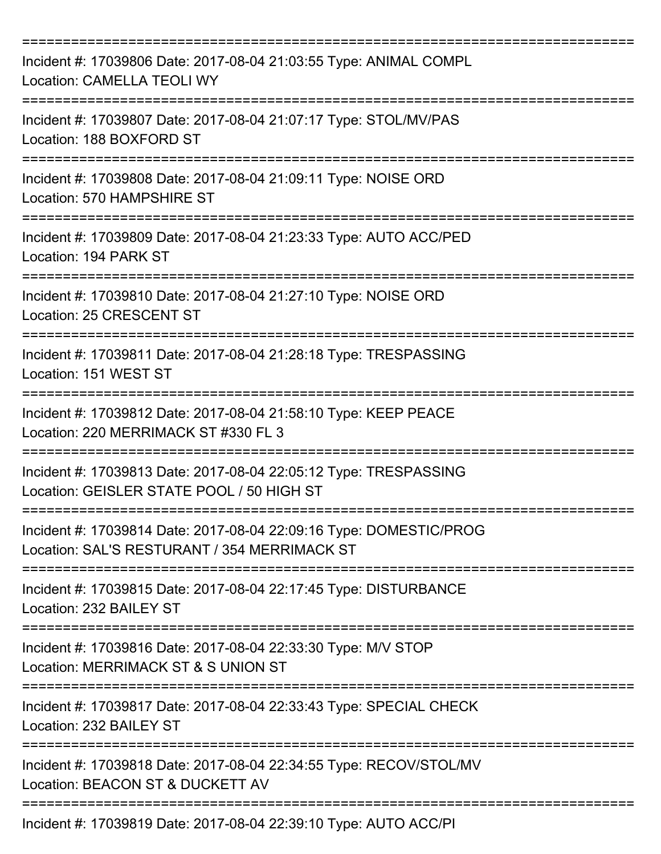| Incident #: 17039806 Date: 2017-08-04 21:03:55 Type: ANIMAL COMPL<br><b>Location: CAMELLA TEOLI WY</b>             |
|--------------------------------------------------------------------------------------------------------------------|
| Incident #: 17039807 Date: 2017-08-04 21:07:17 Type: STOL/MV/PAS<br>Location: 188 BOXFORD ST                       |
| Incident #: 17039808 Date: 2017-08-04 21:09:11 Type: NOISE ORD<br>Location: 570 HAMPSHIRE ST                       |
| Incident #: 17039809 Date: 2017-08-04 21:23:33 Type: AUTO ACC/PED<br>Location: 194 PARK ST                         |
| Incident #: 17039810 Date: 2017-08-04 21:27:10 Type: NOISE ORD<br>Location: 25 CRESCENT ST                         |
| Incident #: 17039811 Date: 2017-08-04 21:28:18 Type: TRESPASSING<br>Location: 151 WEST ST                          |
| Incident #: 17039812 Date: 2017-08-04 21:58:10 Type: KEEP PEACE<br>Location: 220 MERRIMACK ST #330 FL 3            |
| Incident #: 17039813 Date: 2017-08-04 22:05:12 Type: TRESPASSING<br>Location: GEISLER STATE POOL / 50 HIGH ST      |
| Incident #: 17039814 Date: 2017-08-04 22:09:16 Type: DOMESTIC/PROG<br>Location: SAL'S RESTURANT / 354 MERRIMACK ST |
| Incident #: 17039815 Date: 2017-08-04 22:17:45 Type: DISTURBANCE<br>Location: 232 BAILEY ST                        |
| Incident #: 17039816 Date: 2017-08-04 22:33:30 Type: M/V STOP<br>Location: MERRIMACK ST & S UNION ST               |
| Incident #: 17039817 Date: 2017-08-04 22:33:43 Type: SPECIAL CHECK<br>Location: 232 BAILEY ST                      |
| Incident #: 17039818 Date: 2017-08-04 22:34:55 Type: RECOV/STOL/MV<br>Location: BEACON ST & DUCKETT AV             |
| Incident #: 17039819 Date: 2017-08-04 22:39:10 Type: AUTO ACC/PI                                                   |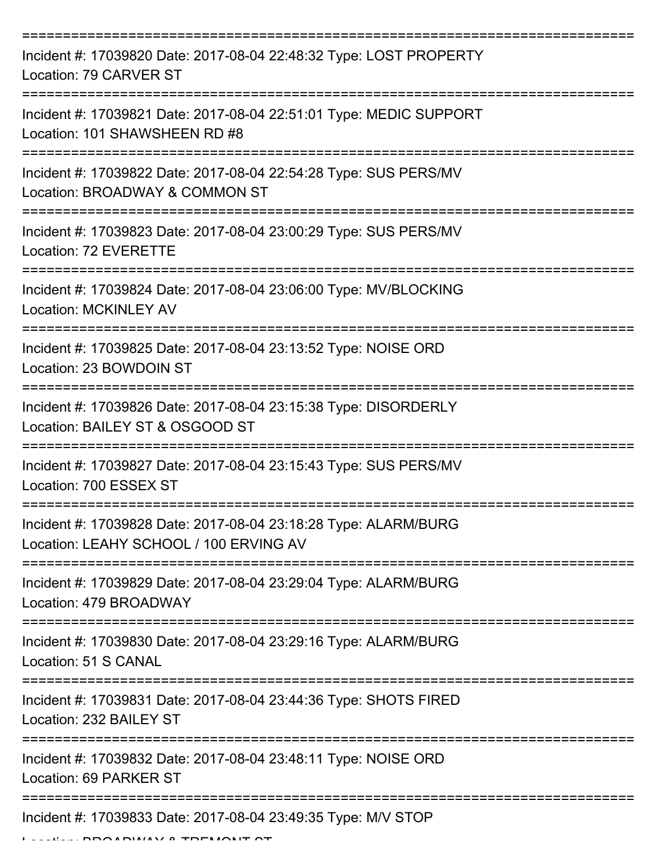| Incident #: 17039820 Date: 2017-08-04 22:48:32 Type: LOST PROPERTY<br>Location: 79 CARVER ST              |
|-----------------------------------------------------------------------------------------------------------|
| Incident #: 17039821 Date: 2017-08-04 22:51:01 Type: MEDIC SUPPORT<br>Location: 101 SHAWSHEEN RD #8       |
| Incident #: 17039822 Date: 2017-08-04 22:54:28 Type: SUS PERS/MV<br>Location: BROADWAY & COMMON ST        |
| Incident #: 17039823 Date: 2017-08-04 23:00:29 Type: SUS PERS/MV<br>Location: 72 EVERETTE                 |
| Incident #: 17039824 Date: 2017-08-04 23:06:00 Type: MV/BLOCKING<br><b>Location: MCKINLEY AV</b>          |
| Incident #: 17039825 Date: 2017-08-04 23:13:52 Type: NOISE ORD<br>Location: 23 BOWDOIN ST                 |
| Incident #: 17039826 Date: 2017-08-04 23:15:38 Type: DISORDERLY<br>Location: BAILEY ST & OSGOOD ST        |
| Incident #: 17039827 Date: 2017-08-04 23:15:43 Type: SUS PERS/MV<br>Location: 700 ESSEX ST                |
| Incident #: 17039828 Date: 2017-08-04 23:18:28 Type: ALARM/BURG<br>Location: LEAHY SCHOOL / 100 ERVING AV |
| Incident #: 17039829 Date: 2017-08-04 23:29:04 Type: ALARM/BURG<br>Location: 479 BROADWAY                 |
| Incident #: 17039830 Date: 2017-08-04 23:29:16 Type: ALARM/BURG<br>Location: 51 S CANAL                   |
| Incident #: 17039831 Date: 2017-08-04 23:44:36 Type: SHOTS FIRED<br>Location: 232 BAILEY ST               |
| Incident #: 17039832 Date: 2017-08-04 23:48:11 Type: NOISE ORD<br>Location: 69 PARKER ST                  |
| Incident #: 17039833 Date: 2017-08-04 23:49:35 Type: M/V STOP                                             |